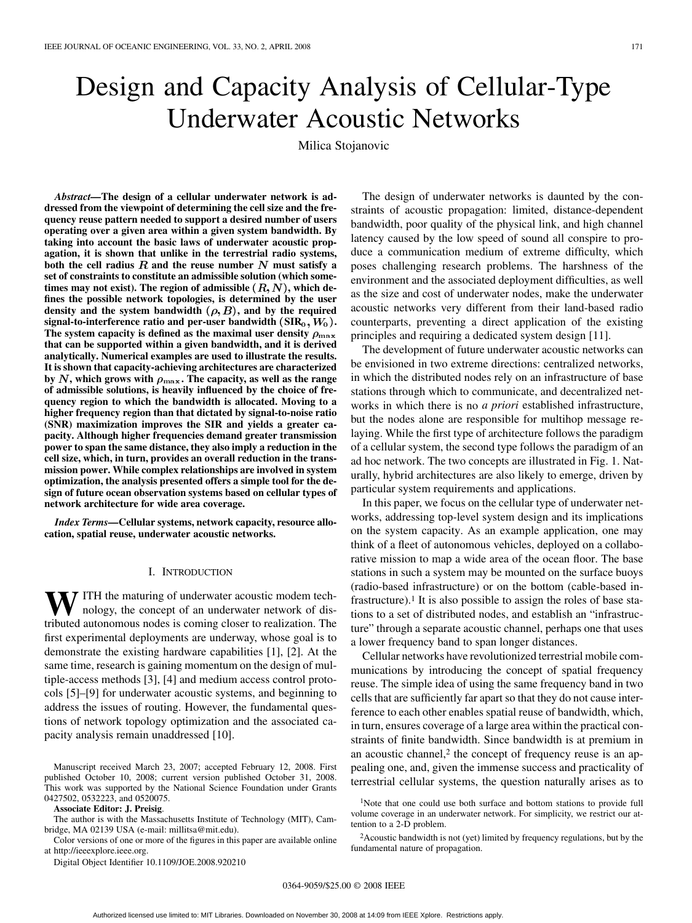# Design and Capacity Analysis of Cellular-Type Underwater Acoustic Networks

Milica Stojanovic

*Abstract—***The design of a cellular underwater network is addressed from the viewpoint of determining the cell size and the frequency reuse pattern needed to support a desired number of users operating over a given area within a given system bandwidth. By taking into account the basic laws of underwater acoustic propagation, it is shown that unlike in the terrestrial radio systems,** both the cell radius  $R$  and the reuse number  $N$  must satisfy a **set of constraints to constitute an admissible solution (which some**times may not exist). The region of admissible  $(R, N)$ , which de**fines the possible network topologies, is determined by the user** density and the system bandwidth  $(\rho, B)$ , and by the required **signal-to-interference ratio and per-user bandwidth**  $(SIR_0, W_0)$ **.** The system capacity is defined as the maximal user density  $\rho_{\text{max}}$ **that can be supported within a given bandwidth, and it is derived analytically. Numerical examples are used to illustrate the results. It is shown that capacity-achieving architectures are characterized** by  $N$ , which grows with  $\rho_{\text{max}}$ . The capacity, as well as the range **of admissible solutions, is heavily influenced by the choice of frequency region to which the bandwidth is allocated. Moving to a higher frequency region than that dictated by signal-to-noise ratio (SNR) maximization improves the SIR and yields a greater capacity. Although higher frequencies demand greater transmission power to span the same distance, they also imply a reduction in the cell size, which, in turn, provides an overall reduction in the transmission power. While complex relationships are involved in system optimization, the analysis presented offers a simple tool for the design of future ocean observation systems based on cellular types of network architecture for wide area coverage.**

*Index Terms—***Cellular systems, network capacity, resource allocation, spatial reuse, underwater acoustic networks.**

## I. INTRODUCTION

**W**ITH the maturing of underwater acoustic modem technology, the concept of an underwater network of distributed autonomous nodes is coming closer to realization. The first experimental deployments are underway, whose goal is to demonstrate the existing hardware capabilities [1], [2]. At the same time, research is gaining momentum on the design of multiple-access methods [3], [4] and medium access control protocols [5]–[9] for underwater acoustic systems, and beginning to address the issues of routing. However, the fundamental questions of network topology optimization and the associated capacity analysis remain unaddressed [10].

Manuscript received March 23, 2007; accepted February 12, 2008. First published October 10, 2008; current version published October 31, 2008. This work was supported by the National Science Foundation under Grants 0427502, 0532223, and 0520075.

#### **Associate Editor: J. Preisig**.

The author is with the Massachusetts Institute of Technology (MIT), Cambridge, MA 02139 USA (e-mail: millitsa@mit.edu).

Color versions of one or more of the figures in this paper are available online at http://ieeexplore.ieee.org.

Digital Object Identifier 10.1109/JOE.2008.920210

The design of underwater networks is daunted by the constraints of acoustic propagation: limited, distance-dependent bandwidth, poor quality of the physical link, and high channel latency caused by the low speed of sound all conspire to produce a communication medium of extreme difficulty, which poses challenging research problems. The harshness of the environment and the associated deployment difficulties, as well as the size and cost of underwater nodes, make the underwater acoustic networks very different from their land-based radio counterparts, preventing a direct application of the existing principles and requiring a dedicated system design [11].

The development of future underwater acoustic networks can be envisioned in two extreme directions: centralized networks, in which the distributed nodes rely on an infrastructure of base stations through which to communicate, and decentralized networks in which there is no *a priori* established infrastructure, but the nodes alone are responsible for multihop message relaying. While the first type of architecture follows the paradigm of a cellular system, the second type follows the paradigm of an ad hoc network. The two concepts are illustrated in Fig. 1. Naturally, hybrid architectures are also likely to emerge, driven by particular system requirements and applications.

In this paper, we focus on the cellular type of underwater networks, addressing top-level system design and its implications on the system capacity. As an example application, one may think of a fleet of autonomous vehicles, deployed on a collaborative mission to map a wide area of the ocean floor. The base stations in such a system may be mounted on the surface buoys (radio-based infrastructure) or on the bottom (cable-based infrastructure).<sup>1</sup> It is also possible to assign the roles of base stations to a set of distributed nodes, and establish an "infrastructure" through a separate acoustic channel, perhaps one that uses a lower frequency band to span longer distances.

Cellular networks have revolutionized terrestrial mobile communications by introducing the concept of spatial frequency reuse. The simple idea of using the same frequency band in two cells that are sufficiently far apart so that they do not cause interference to each other enables spatial reuse of bandwidth, which, in turn, ensures coverage of a large area within the practical constraints of finite bandwidth. Since bandwidth is at premium in an acoustic channel,<sup>2</sup> the concept of frequency reuse is an appealing one, and, given the immense success and practicality of terrestrial cellular systems, the question naturally arises as to

2Acoustic bandwidth is not (yet) limited by frequency regulations, but by the fundamental nature of propagation.

<sup>&</sup>lt;sup>1</sup>Note that one could use both surface and bottom stations to provide full volume coverage in an underwater network. For simplicity, we restrict our attention to a 2-D problem.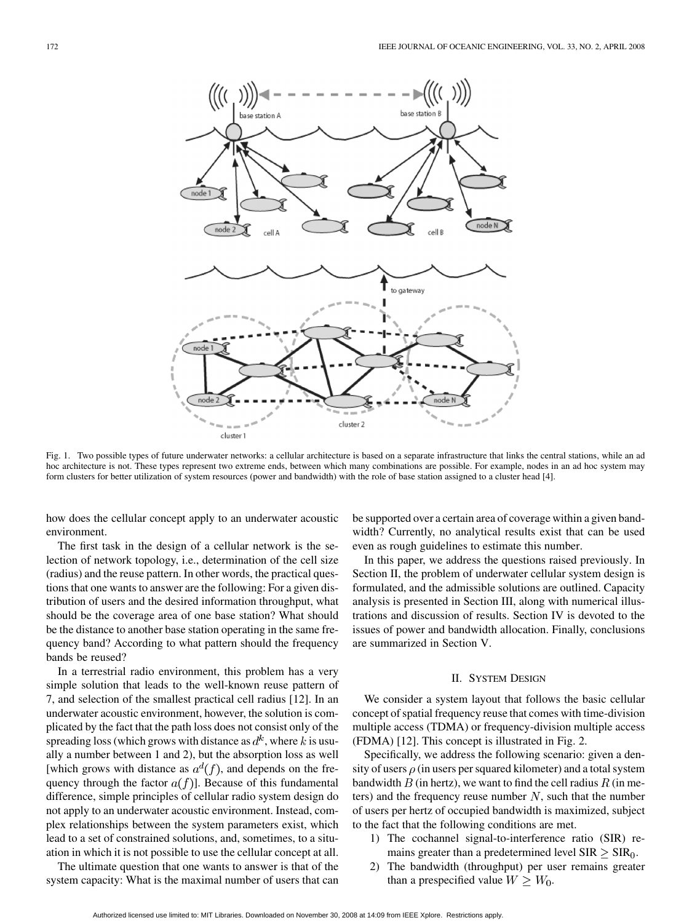

Fig. 1. Two possible types of future underwater networks: a cellular architecture is based on a separate infrastructure that links the central stations, while an ad hoc architecture is not. These types represent two extreme ends, between which many combinations are possible. For example, nodes in an ad hoc system may form clusters for better utilization of system resources (power and bandwidth) with the role of base station assigned to a cluster head [4].

how does the cellular concept apply to an underwater acoustic environment.

The first task in the design of a cellular network is the selection of network topology, i.e., determination of the cell size (radius) and the reuse pattern. In other words, the practical questions that one wants to answer are the following: For a given distribution of users and the desired information throughput, what should be the coverage area of one base station? What should be the distance to another base station operating in the same frequency band? According to what pattern should the frequency bands be reused?

In a terrestrial radio environment, this problem has a very simple solution that leads to the well-known reuse pattern of 7, and selection of the smallest practical cell radius [12]. In an underwater acoustic environment, however, the solution is complicated by the fact that the path loss does not consist only of the spreading loss (which grows with distance as  $d^k$ , where k is usually a number between 1 and 2), but the absorption loss as well [which grows with distance as  $a^d(f)$ , and depends on the frequency through the factor  $a(f)$ ]. Because of this fundamental difference, simple principles of cellular radio system design do not apply to an underwater acoustic environment. Instead, complex relationships between the system parameters exist, which lead to a set of constrained solutions, and, sometimes, to a situation in which it is not possible to use the cellular concept at all.

The ultimate question that one wants to answer is that of the system capacity: What is the maximal number of users that can be supported over a certain area of coverage within a given bandwidth? Currently, no analytical results exist that can be used even as rough guidelines to estimate this number.

In this paper, we address the questions raised previously. In Section II, the problem of underwater cellular system design is formulated, and the admissible solutions are outlined. Capacity analysis is presented in Section III, along with numerical illustrations and discussion of results. Section IV is devoted to the issues of power and bandwidth allocation. Finally, conclusions are summarized in Section V.

## II. SYSTEM DESIGN

We consider a system layout that follows the basic cellular concept of spatial frequency reuse that comes with time-division multiple access (TDMA) or frequency-division multiple access (FDMA) [12]. This concept is illustrated in Fig. 2.

Specifically, we address the following scenario: given a density of users  $\rho$  (in users per squared kilometer) and a total system bandwidth  $B$  (in hertz), we want to find the cell radius  $R$  (in meters) and the frequency reuse number  $N$ , such that the number of users per hertz of occupied bandwidth is maximized, subject to the fact that the following conditions are met.

- 1) The cochannel signal-to-interference ratio (SIR) remains greater than a predetermined level  $\text{SIR} \geq \text{SIR}_0$ .
- 2) The bandwidth (throughput) per user remains greater than a prespecified value  $W \geq W_0$ .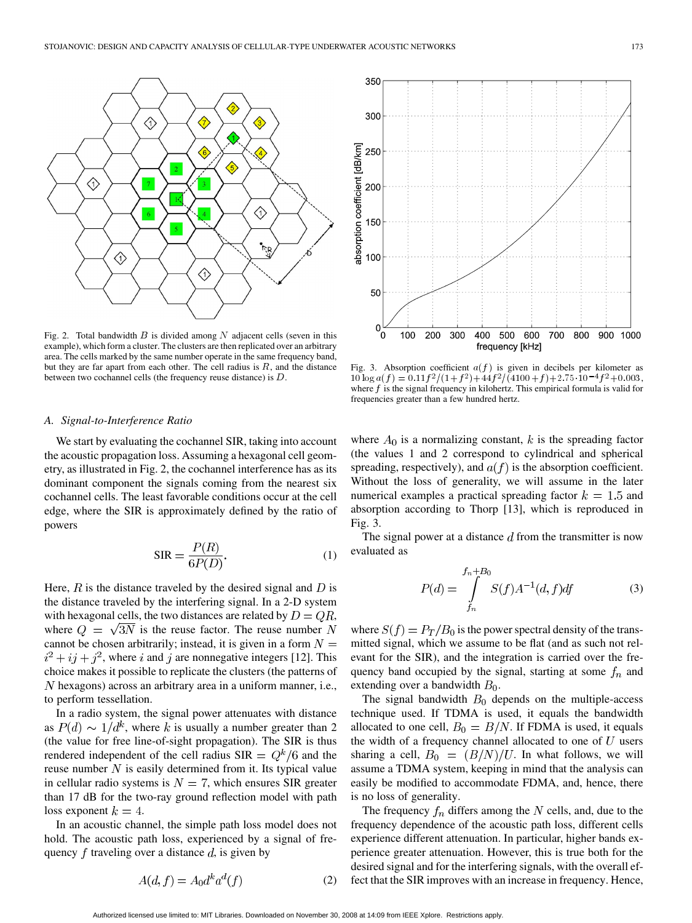

Fig. 2. Total bandwidth  $B$  is divided among  $N$  adjacent cells (seven in this example), which form a cluster. The clusters are then replicated over an arbitrary area. The cells marked by the same number operate in the same frequency band, but they are far apart from each other. The cell radius is  $R$ , and the distance between two cochannel cells (the frequency reuse distance) is D.

## *A. Signal-to-Interference Ratio*

We start by evaluating the cochannel SIR, taking into account the acoustic propagation loss. Assuming a hexagonal cell geometry, as illustrated in Fig. 2, the cochannel interference has as its dominant component the signals coming from the nearest six cochannel cells. The least favorable conditions occur at the cell edge, where the SIR is approximately defined by the ratio of powers

$$
SIR = \frac{P(R)}{6P(D)}.\t(1)
$$

Here,  $R$  is the distance traveled by the desired signal and  $D$  is the distance traveled by the interfering signal. In a 2-D system with hexagonal cells, the two distances are related by  $D = QR$ , where  $Q = \sqrt{3N}$  is the reuse factor. The reuse number N cannot be chosen arbitrarily; instead, it is given in a form  $N =$  $i^2 + ij + j^2$ , where i and j are nonnegative integers [12]. This choice makes it possible to replicate the clusters (the patterns of  $N$  hexagons) across an arbitrary area in a uniform manner, i.e., to perform tessellation.

In a radio system, the signal power attenuates with distance as  $P(d) \sim 1/d^k$ , where k is usually a number greater than 2 (the value for free line-of-sight propagation). The SIR is thus rendered independent of the cell radius  $SIR = Q^{k}/6$  and the reuse number  $N$  is easily determined from it. Its typical value in cellular radio systems is  $N = 7$ , which ensures SIR greater than 17 dB for the two-ray ground reflection model with path loss exponent  $k = 4$ .

In an acoustic channel, the simple path loss model does not hold. The acoustic path loss, experienced by a signal of frequency  $f$  traveling over a distance  $d$ , is given by

$$
A(d, f) = A_0 d^k a^d(f)
$$
 (2)



Fig. 3. Absorption coefficient  $a(f)$  is given in decibels per kilometer as  $10 \log a(f)=0.11f^2/(1+f^2)+44f^2/(4100+f)+2.75\cdot 10^{-4}f^2 +0.003,$ where  $f$  is the signal frequency in kilohertz. This empirical formula is valid for frequencies greater than a few hundred hertz.

where  $A_0$  is a normalizing constant, k is the spreading factor (the values 1 and 2 correspond to cylindrical and spherical spreading, respectively), and  $a(f)$  is the absorption coefficient. Without the loss of generality, we will assume in the later numerical examples a practical spreading factor  $k = 1.5$  and absorption according to Thorp [13], which is reproduced in Fig. 3.

The signal power at a distance  $d$  from the transmitter is now evaluated as

$$
P(d) = \int_{f_n}^{f_n + B_0} S(f)A^{-1}(d, f)df
$$
 (3)

where  $S(f) = P_T/B_0$  is the power spectral density of the transmitted signal, which we assume to be flat (and as such not relevant for the SIR), and the integration is carried over the frequency band occupied by the signal, starting at some  $f_n$  and extending over a bandwidth  $B_0$ .

The signal bandwidth  $B_0$  depends on the multiple-access technique used. If TDMA is used, it equals the bandwidth allocated to one cell,  $B_0 = B/N$ . If FDMA is used, it equals the width of a frequency channel allocated to one of  $U$  users sharing a cell,  $B_0 = (B/N)/U$ . In what follows, we will assume a TDMA system, keeping in mind that the analysis can easily be modified to accommodate FDMA, and, hence, there is no loss of generality.

The frequency  $f_n$  differs among the N cells, and, due to the frequency dependence of the acoustic path loss, different cells experience different attenuation. In particular, higher bands experience greater attenuation. However, this is true both for the desired signal and for the interfering signals, with the overall effect that the SIR improves with an increase in frequency. Hence,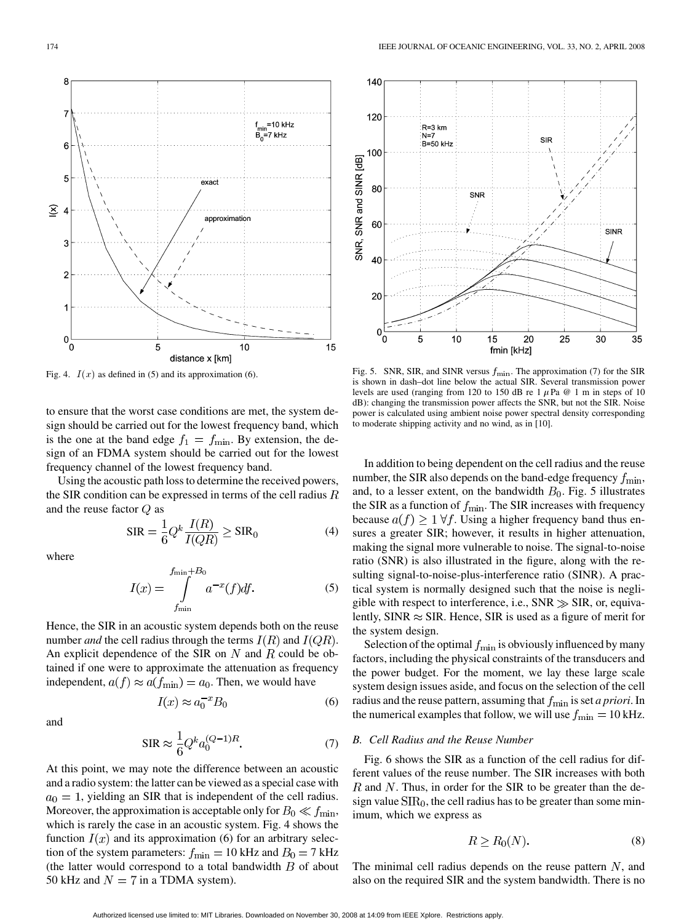

Fig. 4.  $I(x)$  as defined in (5) and its approximation (6).

to ensure that the worst case conditions are met, the system design should be carried out for the lowest frequency band, which is the one at the band edge  $f_1 = f_{\text{min}}$ . By extension, the design of an FDMA system should be carried out for the lowest frequency channel of the lowest frequency band.

Using the acoustic path loss to determine the received powers, the SIR condition can be expressed in terms of the cell radius  $R$ and the reuse factor  $Q$  as

$$
SIR = \frac{1}{6}Q^k \frac{I(R)}{I(QR)} \geq SIR_0
$$
 (4)

where

$$
I(x) = \int_{f_{\min}}^{f_{\min} + B_0} a^{-x}(f) df.
$$
 (5)

Hence, the SIR in an acoustic system depends both on the reuse number *and* the cell radius through the terms  $I(R)$  and  $I(QR)$ . An explicit dependence of the SIR on  $N$  and  $R$  could be obtained if one were to approximate the attenuation as frequency independent,  $a(f) \approx a(f_{\min}) = a_0$ . Then, we would have

$$
I(x) \approx a_0^{-x} B_0 \tag{6}
$$

and

$$
\text{SIR} \approx \frac{1}{6} Q^k a_0^{(Q-1)R}.\tag{7}
$$

At this point, we may note the difference between an acoustic and a radio system: the latter can be viewed as a special case with  $a_0 = 1$ , yielding an SIR that is independent of the cell radius. Moreover, the approximation is acceptable only for  $B_0 \ll f_{\rm min}$ , which is rarely the case in an acoustic system. Fig. 4 shows the function  $I(x)$  and its approximation (6) for an arbitrary selection of the system parameters:  $f_{\text{min}} = 10$  kHz and  $B_0 = 7$  kHz (the latter would correspond to a total bandwidth  $B$  of about 50 kHz and  $N = 7$  in a TDMA system).



Fig. 5. SNR, SIR, and SINR versus  $f_{\text{min}}$ . The approximation (7) for the SIR is shown in dash–dot line below the actual SIR. Several transmission power levels are used (ranging from 120 to 150 dB re 1  $\mu$ Pa @ 1 m in steps of 10 dB): changing the transmission power affects the SNR, but not the SIR. Noise power is calculated using ambient noise power spectral density corresponding to moderate shipping activity and no wind, as in [10].

In addition to being dependent on the cell radius and the reuse number, the SIR also depends on the band-edge frequency  $f_{\text{min}}$ , and, to a lesser extent, on the bandwidth  $B_0$ . Fig. 5 illustrates the SIR as a function of  $f_{\text{min}}$ . The SIR increases with frequency because  $a(f) \geq 1 \forall f$ . Using a higher frequency band thus ensures a greater SIR; however, it results in higher attenuation, making the signal more vulnerable to noise. The signal-to-noise ratio (SNR) is also illustrated in the figure, along with the resulting signal-to-noise-plus-interference ratio (SINR). A practical system is normally designed such that the noise is negligible with respect to interference, i.e.,  $SNR \gg SIR$ , or, equivalently, SINR  $\approx$  SIR. Hence, SIR is used as a figure of merit for the system design.

Selection of the optimal  $f_{\text{min}}$  is obviously influenced by many factors, including the physical constraints of the transducers and the power budget. For the moment, we lay these large scale system design issues aside, and focus on the selection of the cell radius and the reuse pattern, assuming that  $f_{\text{min}}$  is set *a priori*. In the numerical examples that follow, we will use  $f_{\text{min}} = 10$  kHz.

### *B. Cell Radius and the Reuse Number*

Fig. 6 shows the SIR as a function of the cell radius for different values of the reuse number. The SIR increases with both  $R$  and  $N$ . Thus, in order for the SIR to be greater than the design value  $\text{SIR}_0$ , the cell radius has to be greater than some minimum, which we express as

$$
R \ge R_0(N). \tag{8}
$$

The minimal cell radius depends on the reuse pattern  $N$ , and also on the required SIR and the system bandwidth. There is no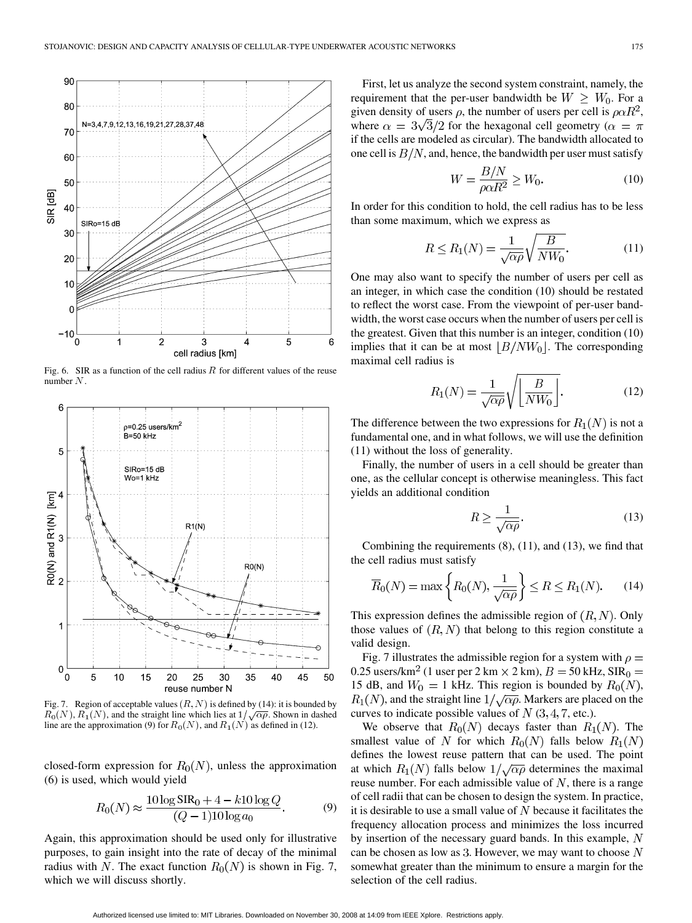

Fig. 6. SIR as a function of the cell radius  $R$  for different values of the reuse number N.



Fig. 7. Region of acceptable values  $(R, N)$  is defined by (14): it is bounded by  $R_0(N)$ ,  $R_1(N)$ , and the straight line which lies at  $1/\sqrt{\alpha \rho}$ . Shown in dashed line are the approximation (9) for  $R_0(N)$ , and  $R_1(N)$  as defined in (12).

closed-form expression for  $R_0(N)$ , unless the approximation (6) is used, which would yield

$$
R_0(N) \approx \frac{10 \log \text{SIR}_0 + 4 - k10 \log Q}{(Q - 1)10 \log a_0}.
$$
 (9)

Again, this approximation should be used only for illustrative purposes, to gain insight into the rate of decay of the minimal radius with N. The exact function  $R_0(N)$  is shown in Fig. 7, which we will discuss shortly.

First, let us analyze the second system constraint, namely, the requirement that the per-user bandwidth be  $W \geq W_0$ . For a given density of users  $\rho$ , the number of users per cell is  $\rho \alpha R^2$ , where  $\alpha = 3\sqrt{3}/2$  for the hexagonal cell geometry ( $\alpha = \pi$ ) if the cells are modeled as circular). The bandwidth allocated to one cell is  $B/N$ , and, hence, the bandwidth per user must satisfy

$$
W = \frac{B/N}{\rho \alpha R^2} \ge W_0.
$$
\n(10)

In order for this condition to hold, the cell radius has to be less than some maximum, which we express as

$$
R \le R_1(N) = \frac{1}{\sqrt{\alpha \rho}} \sqrt{\frac{B}{NW_0}}.
$$
\n(11)

One may also want to specify the number of users per cell as an integer, in which case the condition (10) should be restated to reflect the worst case. From the viewpoint of per-user bandwidth, the worst case occurs when the number of users per cell is the greatest. Given that this number is an integer, condition (10) implies that it can be at most  $|B/NW_0|$ . The corresponding maximal cell radius is

$$
R_1(N) = \frac{1}{\sqrt{\alpha \rho}} \sqrt{\left\lfloor \frac{B}{NW_0} \right\rfloor}.
$$
 (12)

The difference between the two expressions for  $R_1(N)$  is not a fundamental one, and in what follows, we will use the definition (11) without the loss of generality.

Finally, the number of users in a cell should be greater than one, as the cellular concept is otherwise meaningless. This fact yields an additional condition

$$
R \ge \frac{1}{\sqrt{\alpha \rho}}.\tag{13}
$$

Combining the requirements (8), (11), and (13), we find that the cell radius must satisfy

$$
\overline{R}_0(N) = \max\left\{ R_0(N), \frac{1}{\sqrt{\alpha \rho}} \right\} \le R \le R_1(N). \tag{14}
$$

This expression defines the admissible region of  $(R, N)$ . Only those values of  $(R, N)$  that belong to this region constitute a valid design.

Fig. 7 illustrates the admissible region for a system with  $\rho =$ 0.25 users/km<sup>2</sup> (1 user per 2 km  $\times$  2 km),  $B = 50$  kHz, SIR<sub>0</sub> = 15 dB, and  $W_0 = 1$  kHz. This region is bounded by  $R_0(N)$ ,  $R_1(N)$ , and the straight line  $1/\sqrt{\alpha \rho}$ . Markers are placed on the curves to indicate possible values of  $N$  (3, 4, 7, etc.).

We observe that  $R_0(N)$  decays faster than  $R_1(N)$ . The smallest value of N for which  $R_0(N)$  falls below  $R_1(N)$ defines the lowest reuse pattern that can be used. The point at which  $R_1(N)$  falls below  $1/\sqrt{\alpha\rho}$  determines the maximal reuse number. For each admissible value of  $N$ , there is a range of cell radii that can be chosen to design the system. In practice, it is desirable to use a small value of  $N$  because it facilitates the frequency allocation process and minimizes the loss incurred by insertion of the necessary guard bands. In this example,  $N$ can be chosen as low as 3. However, we may want to choose  $N$ somewhat greater than the minimum to ensure a margin for the selection of the cell radius.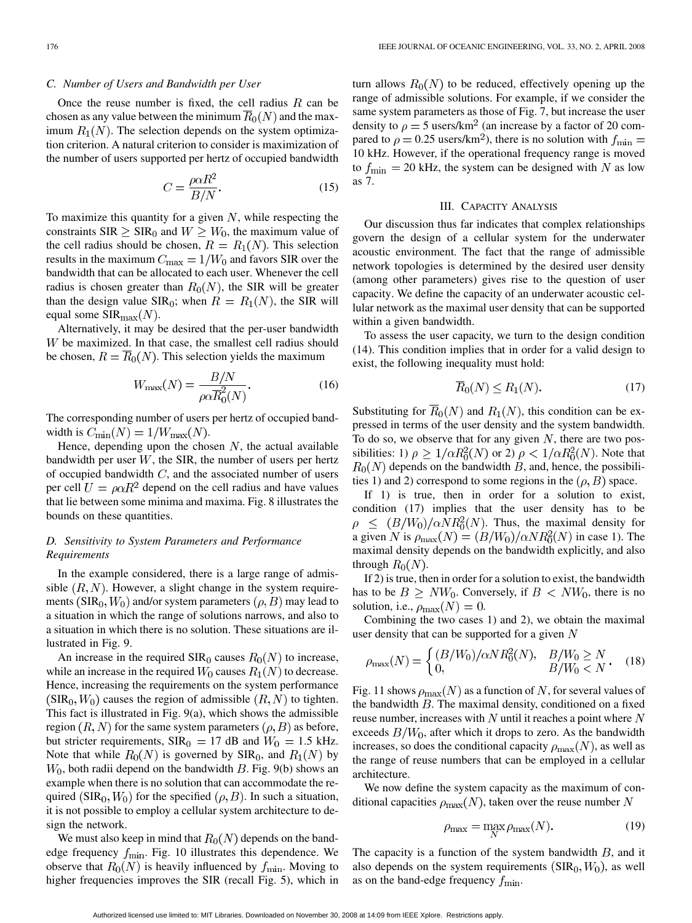# *C. Number of Users and Bandwidth per User*

Once the reuse number is fixed, the cell radius  $R$  can be chosen as any value between the minimum  $\overline{R}_0(N)$  and the maximum  $R_1(N)$ . The selection depends on the system optimization criterion. A natural criterion to consider is maximization of the number of users supported per hertz of occupied bandwidth

$$
C = \frac{\rho \alpha R^2}{B/N}.
$$
 (15)

To maximize this quantity for a given  $N$ , while respecting the constraints  $SIR \geq SIR_0$  and  $W \geq W_0$ , the maximum value of the cell radius should be chosen,  $R = R_1(N)$ . This selection results in the maximum  $C_{\text{max}} = 1/W_0$  and favors SIR over the bandwidth that can be allocated to each user. Whenever the cell radius is chosen greater than  $R_0(N)$ , the SIR will be greater than the design value SIR<sub>0</sub>; when  $R = R_1(N)$ , the SIR will equal some  $SIR_{\text{max}}(N)$ .

Alternatively, it may be desired that the per-user bandwidth  $W$  be maximized. In that case, the smallest cell radius should be chosen,  $R = R_0(N)$ . This selection yields the maximum

$$
W_{\text{max}}(N) = \frac{B/N}{\rho \alpha \overline{R}_0^2(N)}.\tag{16}
$$

The corresponding number of users per hertz of occupied bandwidth is  $C_{\text{min}}(N) = 1/W_{\text{max}}(N)$ .

Hence, depending upon the chosen  $N$ , the actual available bandwidth per user  $W$ , the SIR, the number of users per hertz of occupied bandwidth  $C$ , and the associated number of users per cell  $U = \rho \alpha R^2$  depend on the cell radius and have values that lie between some minima and maxima. Fig. 8 illustrates the bounds on these quantities.

# *D. Sensitivity to System Parameters and Performance Requirements*

In the example considered, there is a large range of admissible  $(R, N)$ . However, a slight change in the system requirements (SIR<sub>0</sub>,  $W_0$ ) and/or system parameters ( $\rho$ , B) may lead to a situation in which the range of solutions narrows, and also to a situation in which there is no solution. These situations are illustrated in Fig. 9.

An increase in the required  $\text{SIR}_0$  causes  $R_0(N)$  to increase, while an increase in the required  $W_0$  causes  $R_1(N)$  to decrease. Hence, increasing the requirements on the system performance  $(SIR<sub>0</sub>, W<sub>0</sub>)$  causes the region of admissible  $(R, N)$  to tighten. This fact is illustrated in Fig. 9(a), which shows the admissible region  $(R, N)$  for the same system parameters  $(\rho, B)$  as before, but stricter requirements,  $\text{SIR}_0 = 17$  dB and  $W_0 = 1.5$  kHz. Note that while  $R_0(N)$  is governed by SIR<sub>0</sub>, and  $R_1(N)$  by  $W_0$ , both radii depend on the bandwidth  $B$ . Fig. 9(b) shows an example when there is no solution that can accommodate the required  $(SIR_0, W_0)$  for the specified  $(\rho, B)$ . In such a situation, it is not possible to employ a cellular system architecture to design the network.

We must also keep in mind that  $R_0(N)$  depends on the bandedge frequency  $f_{\text{min}}$ . Fig. 10 illustrates this dependence. We observe that  $R_0(N)$  is heavily influenced by  $f_{\text{min}}$ . Moving to higher frequencies improves the SIR (recall Fig. 5), which in

turn allows  $R_0(N)$  to be reduced, effectively opening up the range of admissible solutions. For example, if we consider the same system parameters as those of Fig. 7, but increase the user density to  $\rho = 5$  users/km<sup>2</sup> (an increase by a factor of 20 compared to  $\rho = 0.25$  users/km<sup>2</sup>), there is no solution with  $f_{\text{min}} =$ 10 kHz. However, if the operational frequency range is moved to  $f_{\text{min}} = 20$  kHz, the system can be designed with N as low as 7.

## III. CAPACITY ANALYSIS

Our discussion thus far indicates that complex relationships govern the design of a cellular system for the underwater acoustic environment. The fact that the range of admissible network topologies is determined by the desired user density (among other parameters) gives rise to the question of user capacity. We define the capacity of an underwater acoustic cellular network as the maximal user density that can be supported within a given bandwidth.

To assess the user capacity, we turn to the design condition (14). This condition implies that in order for a valid design to exist, the following inequality must hold:

$$
\overline{R}_0(N) \le R_1(N). \tag{17}
$$

Substituting for  $\overline{R}_0(N)$  and  $R_1(N)$ , this condition can be expressed in terms of the user density and the system bandwidth. To do so, we observe that for any given N, there are two possibilities: 1)  $\rho \geq 1/\alpha R_0^2(N)$  or 2)  $\rho < 1/\alpha R_0^2(N)$ . Note that  $R_0(N)$  depends on the bandwidth B, and, hence, the possibilities 1) and 2) correspond to some regions in the  $(\rho, B)$  space.

If 1) is true, then in order for a solution to exist, condition (17) implies that the user density has to be  $\rho \leq (B/W_0)/\alpha NR_0^2(N)$ . Thus, the maximal density for a given N is  $\rho_{\text{max}}(N) = (B/W_0)/\alpha NR_0^2(N)$  in case 1). The maximal density depends on the bandwidth explicitly, and also through  $R_0(N)$ .

If 2) is true, then in order for a solution to exist, the bandwidth has to be  $B \geq NW_0$ . Conversely, if  $B < NW_0$ , there is no solution, i.e.,  $\rho_{\text{max}}(N) = 0$ .

Combining the two cases 1) and 2), we obtain the maximal user density that can be supported for a given  $N$ 

$$
\rho_{\max}(N) = \begin{cases} (B/W_0)/\alpha NR_0^2(N), & B/W_0 \ge N \\ 0, & B/W_0 < N \end{cases}.
$$
 (18)

Fig. 11 shows  $\rho_{\text{max}}(N)$  as a function of N, for several values of the bandwidth  $B$ . The maximal density, conditioned on a fixed reuse number, increases with  $N$  until it reaches a point where  $N$ exceeds  $B/W_0$ , after which it drops to zero. As the bandwidth increases, so does the conditional capacity  $\rho_{\text{max}}(N)$ , as well as the range of reuse numbers that can be employed in a cellular architecture.

We now define the system capacity as the maximum of conditional capacities  $\rho_{\text{max}}(N)$ , taken over the reuse number N

$$
\rho_{\text{max}} = \max_{N} \rho_{\text{max}}(N). \tag{19}
$$

The capacity is a function of the system bandwidth  $B$ , and it also depends on the system requirements  $(SIR_0, W_0)$ , as well as on the band-edge frequency  $f_{\text{min}}$ .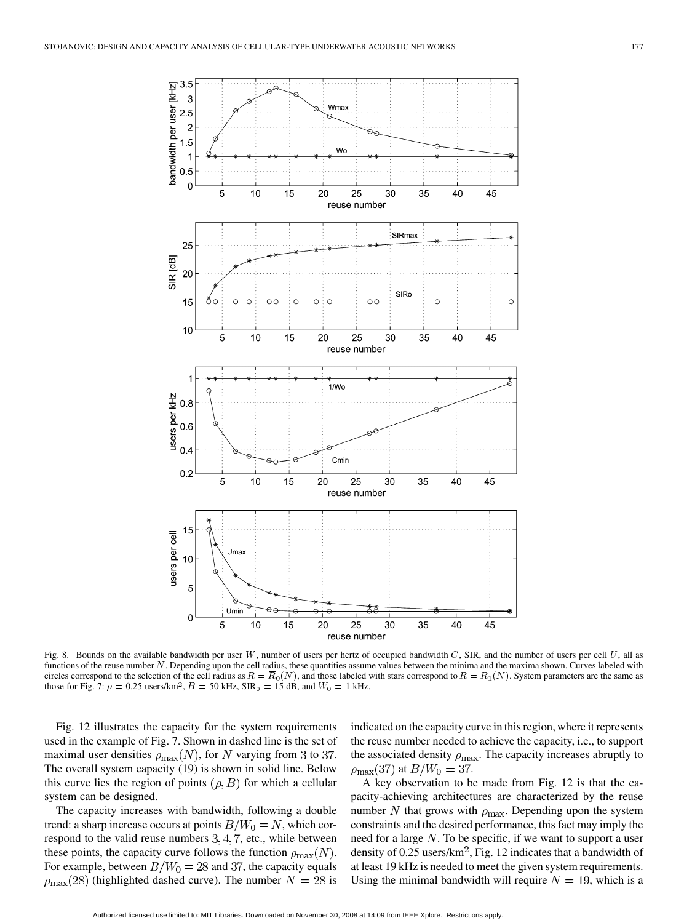

Fig. 8. Bounds on the available bandwidth per user W, number of users per hertz of occupied bandwidth C, SIR, and the number of users per cell U, all as functions of the reuse number N. Depending upon the cell radius, these quantities assume values between the minima and the maxima shown. Curves labeled with circles correspond to the selection of the cell radius as  $R = \overline{R}_0(N)$ , and those labeled with stars correspond to  $R = R_1(N)$ . System parameters are the same as those for Fig. 7:  $\rho = 0.25$  users/km<sup>2</sup>,  $B = 50$  kHz, SIR<sub>0</sub> = 15 dB, and  $W_0 = 1$  kHz.

Fig. 12 illustrates the capacity for the system requirements used in the example of Fig. 7. Shown in dashed line is the set of maximal user densities  $\rho_{\text{max}}(N)$ , for N varying from 3 to 37. The overall system capacity (19) is shown in solid line. Below this curve lies the region of points  $(\rho, B)$  for which a cellular system can be designed.

The capacity increases with bandwidth, following a double trend: a sharp increase occurs at points  $B/W_0 = N$ , which correspond to the valid reuse numbers  $3, 4, 7$ , etc., while between these points, the capacity curve follows the function  $\rho_{\text{max}}(N)$ . For example, between  $B/W_0 = 28$  and 37, the capacity equals  $\rho_{\text{max}}(28)$  (highlighted dashed curve). The number  $N = 28$  is indicated on the capacity curve in this region, where it represents the reuse number needed to achieve the capacity, i.e., to support the associated density  $\rho_{\text{max}}$ . The capacity increases abruptly to  $\rho_{\text{max}}(37)$  at  $B/W_0 = 37$ .

A key observation to be made from Fig. 12 is that the capacity-achieving architectures are characterized by the reuse number N that grows with  $\rho_{\text{max}}$ . Depending upon the system constraints and the desired performance, this fact may imply the need for a large  $N$ . To be specific, if we want to support a user density of  $0.25$  users/km<sup>2</sup>, Fig. 12 indicates that a bandwidth of at least 19 kHz is needed to meet the given system requirements. Using the minimal bandwidth will require  $N = 19$ , which is a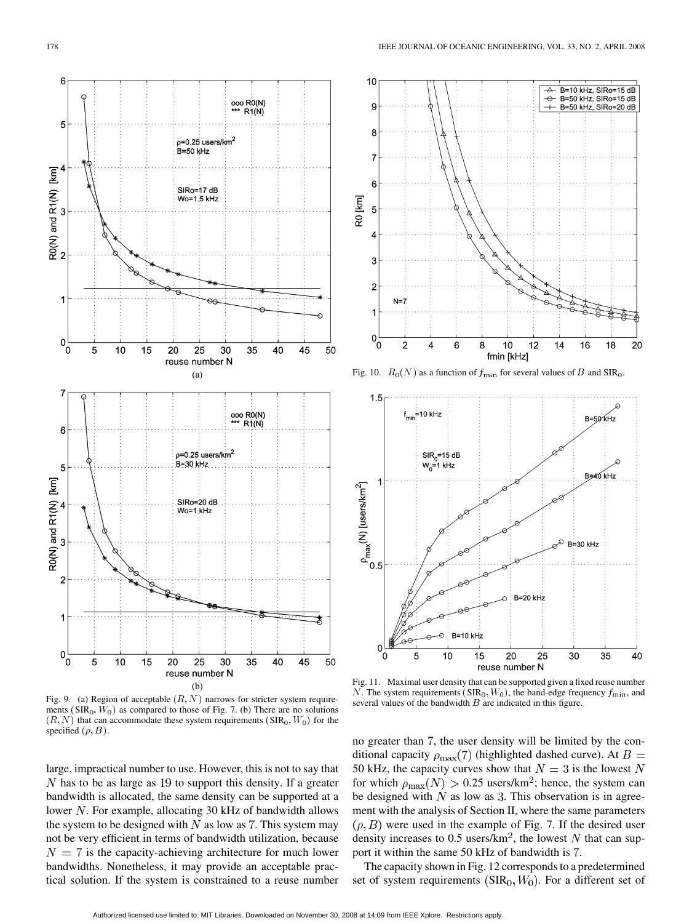

Fig. 9. (a) Region of acceptable  $(R, N)$  narrows for stricter system requirements  $(SIR_0, W_0)$  as compared to those of Fig. 7. (b) There are no solutions  $(R, N)$  that can accommodate these system requirements  $(SIR<sub>0</sub>, W<sub>0</sub>)$  for the specified  $(\rho, B)$ .

large, impractical number to use. However, this is not to say that  $N$  has to be as large as 19 to support this density. If a greater bandwidth is allocated, the same density can be supported at a lower  $N$ . For example, allocating 30 kHz of bandwidth allows the system to be designed with  $N$  as low as 7. This system may not be very efficient in terms of bandwidth utilization, because  $N = 7$  is the capacity-achieving architecture for much lower bandwidths. Nonetheless, it may provide an acceptable practical solution. If the system is constrained to a reuse number



Fig. 10.  $R_0(N)$  as a function of  $f_{\text{min}}$  for several values of B and SIR<sub>0</sub>.



Fig. 11. Maximal user density that can be supported given a fixed reuse number  $N$ . The system requirements  $(SIR_0, W_0)$ , the band-edge frequency  $f_{\min}$ , and several values of the bandwidth  $B$  are indicated in this figure.

no greater than 7, the user density will be limited by the conditional capacity  $\rho_{\text{max}}(7)$  (highlighted dashed curve). At  $B =$ 50 kHz, the capacity curves show that  $N = 3$  is the lowest N for which  $\rho_{\text{max}}(N) > 0.25$  users/km<sup>2</sup>; hence, the system can be designed with  $N$  as low as 3. This observation is in agreement with the analysis of Section II, where the same parameters  $(\rho, B)$  were used in the example of Fig. 7. If the desired user density increases to 0.5 users/km<sup>2</sup>, the lowest N that can support it within the same 50 kHz of bandwidth is 7.

The capacity shown in Fig. 12 corresponds to a predetermined set of system requirements  $(SIR_0, W_0)$ . For a different set of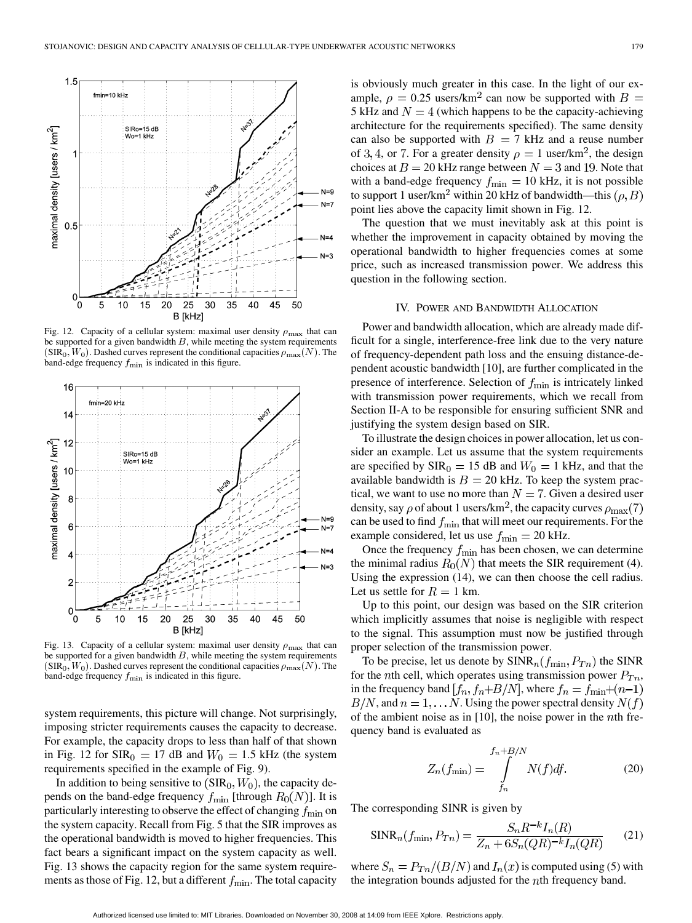

Fig. 12. Capacity of a cellular system: maximal user density  $\rho_{\text{max}}$  that can be supported for a given bandwidth  $B$ , while meeting the system requirements (SIR<sub>0</sub>,  $W_0$ ). Dashed curves represent the conditional capacities  $\rho_{\text{max}}(N)$ . The band-edge frequency  $f_{\min}$  is indicated in this figure.



Fig. 13. Capacity of a cellular system: maximal user density  $\rho_{\text{max}}$  that can be supported for a given bandwidth  $B$ , while meeting the system requirements (SIR<sub>0</sub>,  $W_0$ ). Dashed curves represent the conditional capacities  $\rho_{\text{max}}(N)$ . The band-edge frequency  $f_{\min}$  is indicated in this figure.

system requirements, this picture will change. Not surprisingly, imposing stricter requirements causes the capacity to decrease. For example, the capacity drops to less than half of that shown in Fig. 12 for  $SIR_0 = 17$  dB and  $W_0 = 1.5$  kHz (the system requirements specified in the example of Fig. 9).

In addition to being sensitive to  $(SIR_0, W_0)$ , the capacity depends on the band-edge frequency  $f_{\text{min}}$  [through  $R_0(N)$ ]. It is particularly interesting to observe the effect of changing  $f_{\text{min}}$  on the system capacity. Recall from Fig. 5 that the SIR improves as the operational bandwidth is moved to higher frequencies. This fact bears a significant impact on the system capacity as well. Fig. 13 shows the capacity region for the same system requirements as those of Fig. 12, but a different  $f_{\text{min}}$ . The total capacity is obviously much greater in this case. In the light of our example,  $\rho = 0.25$  users/km<sup>2</sup> can now be supported with  $B =$ 5 kHz and  $N = 4$  (which happens to be the capacity-achieving architecture for the requirements specified). The same density can also be supported with  $B = 7$  kHz and a reuse number of 3, 4, or 7. For a greater density  $\rho = 1$  user/km<sup>2</sup>, the design choices at  $B = 20$  kHz range between  $N = 3$  and 19. Note that with a band-edge frequency  $f_{\text{min}} = 10$  kHz, it is not possible to support 1 user/km<sup>2</sup> within 20 kHz of bandwidth—this ( $\rho$ , B) point lies above the capacity limit shown in Fig. 12.

The question that we must inevitably ask at this point is whether the improvement in capacity obtained by moving the operational bandwidth to higher frequencies comes at some price, such as increased transmission power. We address this question in the following section.

## IV. POWER AND BANDWIDTH ALLOCATION

Power and bandwidth allocation, which are already made difficult for a single, interference-free link due to the very nature of frequency-dependent path loss and the ensuing distance-dependent acoustic bandwidth [10], are further complicated in the presence of interference. Selection of  $f_{\text{min}}$  is intricately linked with transmission power requirements, which we recall from Section II-A to be responsible for ensuring sufficient SNR and justifying the system design based on SIR.

To illustrate the design choices in power allocation, let us consider an example. Let us assume that the system requirements are specified by  $SIR_0 = 15$  dB and  $W_0 = 1$  kHz, and that the available bandwidth is  $B = 20$  kHz. To keep the system practical, we want to use no more than  $N = 7$ . Given a desired user density, say  $\rho$  of about 1 users/km<sup>2</sup>, the capacity curves  $\rho_{\text{max}}(7)$ can be used to find  $f_{\rm min}$  that will meet our requirements. For the example considered, let us use  $f_{\text{min}} = 20$  kHz.

Once the frequency  $f_{\text{min}}$  has been chosen, we can determine the minimal radius  $R_0(N)$  that meets the SIR requirement (4). Using the expression (14), we can then choose the cell radius. Let us settle for  $R = 1$  km.

Up to this point, our design was based on the SIR criterion which implicitly assumes that noise is negligible with respect to the signal. This assumption must now be justified through proper selection of the transmission power.

To be precise, let us denote by  $SINR_n(f_{\text{min}}, P_{T_n})$  the SINR for the *n*th cell, which operates using transmission power  $P_{T_n}$ , in the frequency band  $[f_n, f_n+B/N]$ , where  $f_n = f_{\min}+(n-1)$  $B/N$ , and  $n = 1, \ldots N$ . Using the power spectral density  $N(f)$ of the ambient noise as in  $[10]$ , the noise power in the *n*th frequency band is evaluated as

$$
Z_n(f_{\min}) = \int_{f_n}^{f_n + B/N} N(f) df.
$$
 (20)

The corresponding SINR is given by

$$
SINR_n(f_{\min}, P_{T_n}) = \frac{S_n R^{-k} I_n(R)}{Z_n + 6S_n(QR)^{-k} I_n(QR)}
$$
(21)

where  $S_n = P_{T_n}/(B/N)$  and  $I_n(x)$  is computed using (5) with the integration bounds adjusted for the  $n$ th frequency band.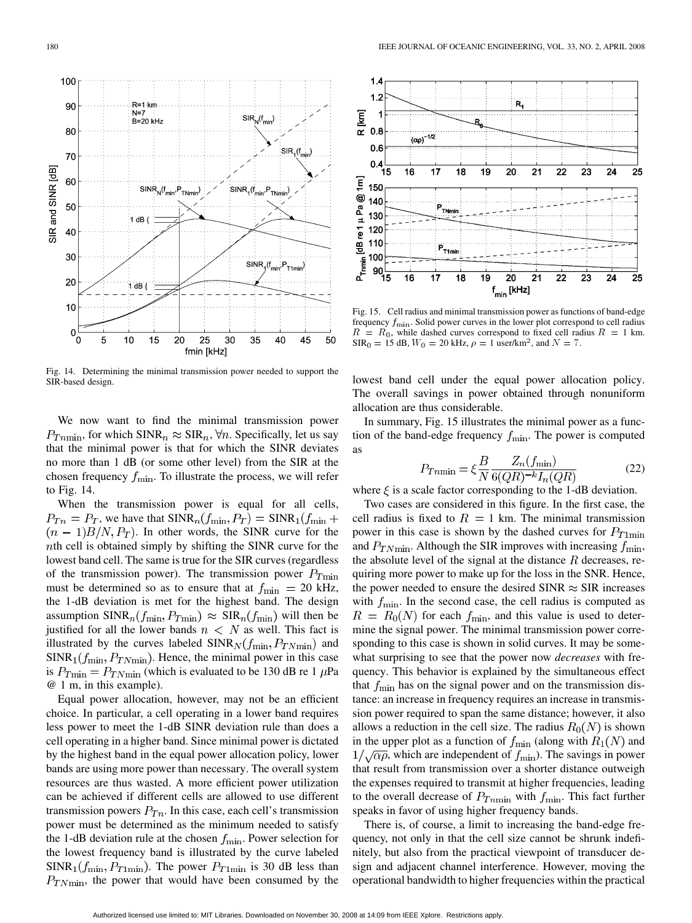Fig. 14. Determining the minimal transmission power needed to support the SIR-based design.

We now want to find the minimal transmission power  $P_{Tnmin}$ , for which SINR<sub>n</sub>  $\approx$  SIR<sub>n</sub>,  $\forall n$ . Specifically, let us say that the minimal power is that for which the SINR deviates no more than 1 dB (or some other level) from the SIR at the chosen frequency  $f_{\text{min}}$ . To illustrate the process, we will refer to Fig. 14.

When the transmission power is equal for all cells,  $P_{Tn} = P_T$ , we have that  $\text{SINR}_n(f_{\text{min}}, P_T) = \text{SINR}_1(f_{\text{min}} + P_T)$  $(n-1)B/N$ ,  $P_T$ ). In other words, the SINR curve for the *n*th cell is obtained simply by shifting the SINR curve for the lowest band cell. The same is true for the SIR curves (regardless of the transmission power). The transmission power  $P_{T_{\text{min}}}$ must be determined so as to ensure that at  $f_{\text{min}} = 20$  kHz, the 1-dB deviation is met for the highest band. The design assumption  $SINR_n(f_{min}, P_{Tmin}) \approx SIR_n(f_{min})$  will then be justified for all the lower bands  $n < N$  as well. This fact is illustrated by the curves labeled  $SINR_N(f_{\text{min}}, P_{TN\text{min}})$  and  $SINR_1(f_{\text{min}}, P_{TN\text{min}})$ . Hence, the minimal power in this case is  $P_{T\text{min}} = P_{T\text{Nmin}}$  (which is evaluated to be 130 dB re 1  $\mu$ Pa @ 1 m, in this example).

Equal power allocation, however, may not be an efficient choice. In particular, a cell operating in a lower band requires less power to meet the 1-dB SINR deviation rule than does a cell operating in a higher band. Since minimal power is dictated by the highest band in the equal power allocation policy, lower bands are using more power than necessary. The overall system resources are thus wasted. A more efficient power utilization can be achieved if different cells are allowed to use different transmission powers  $P_{T_n}$ . In this case, each cell's transmission power must be determined as the minimum needed to satisfy the 1-dB deviation rule at the chosen  $f_{\text{min}}$ . Power selection for the lowest frequency band is illustrated by the curve labeled  $SINR_1(f_{\text{min}}, P_{T1\text{min}})$ . The power  $P_{T1\text{min}}$  is 30 dB less than  $P_{T N min}$ , the power that would have been consumed by the

frequency  $f_{\rm min}$ . Solid power curves in the lower plot correspond to cell radius  $R = R_0$ , while dashed curves correspond to fixed cell radius  $R = 1$  km.  $SIR_0 = 15$  dB,  $W_0 = 20$  kHz,  $\rho = 1$  user/km<sup>2</sup>, and  $N = 7$ .

lowest band cell under the equal power allocation policy. The overall savings in power obtained through nonuniform allocation are thus considerable.

In summary, Fig. 15 illustrates the minimal power as a function of the band-edge frequency  $f_{\text{min}}$ . The power is computed as

$$
P_{Tn\min} = \xi \frac{B}{N} \frac{Z_n(f_{\min})}{6(QR)^{-k} I_n(QR)}\tag{22}
$$

where  $\xi$  is a scale factor corresponding to the 1-dB deviation.

Two cases are considered in this figure. In the first case, the cell radius is fixed to  $R = 1$  km. The minimal transmission power in this case is shown by the dashed curves for  $P_{T1\text{min}}$ and  $P_{T N min}$ . Although the SIR improves with increasing  $f_{min}$ , the absolute level of the signal at the distance  $R$  decreases, requiring more power to make up for the loss in the SNR. Hence, the power needed to ensure the desired SINR  $\approx$  SIR increases with  $f_{\text{min}}$ . In the second case, the cell radius is computed as  $R = R_0(N)$  for each  $f_{\text{min}}$ , and this value is used to determine the signal power. The minimal transmission power corresponding to this case is shown in solid curves. It may be somewhat surprising to see that the power now *decreases* with frequency. This behavior is explained by the simultaneous effect that  $f_{\text{min}}$  has on the signal power and on the transmission distance: an increase in frequency requires an increase in transmission power required to span the same distance; however, it also allows a reduction in the cell size. The radius  $R_0(N)$  is shown in the upper plot as a function of  $f_{\text{min}}$  (along with  $R_1(N)$ ) and  $1/\sqrt{\alpha\rho}$ , which are independent of  $f_{\text{min}}$ ). The savings in power that result from transmission over a shorter distance outweigh the expenses required to transmit at higher frequencies, leading to the overall decrease of  $P_{Tnmin}$  with  $f_{min}$ . This fact further speaks in favor of using higher frequency bands.

There is, of course, a limit to increasing the band-edge frequency, not only in that the cell size cannot be shrunk indefinitely, but also from the practical viewpoint of transducer design and adjacent channel interference. However, moving the operational bandwidth to higher frequencies within the practical